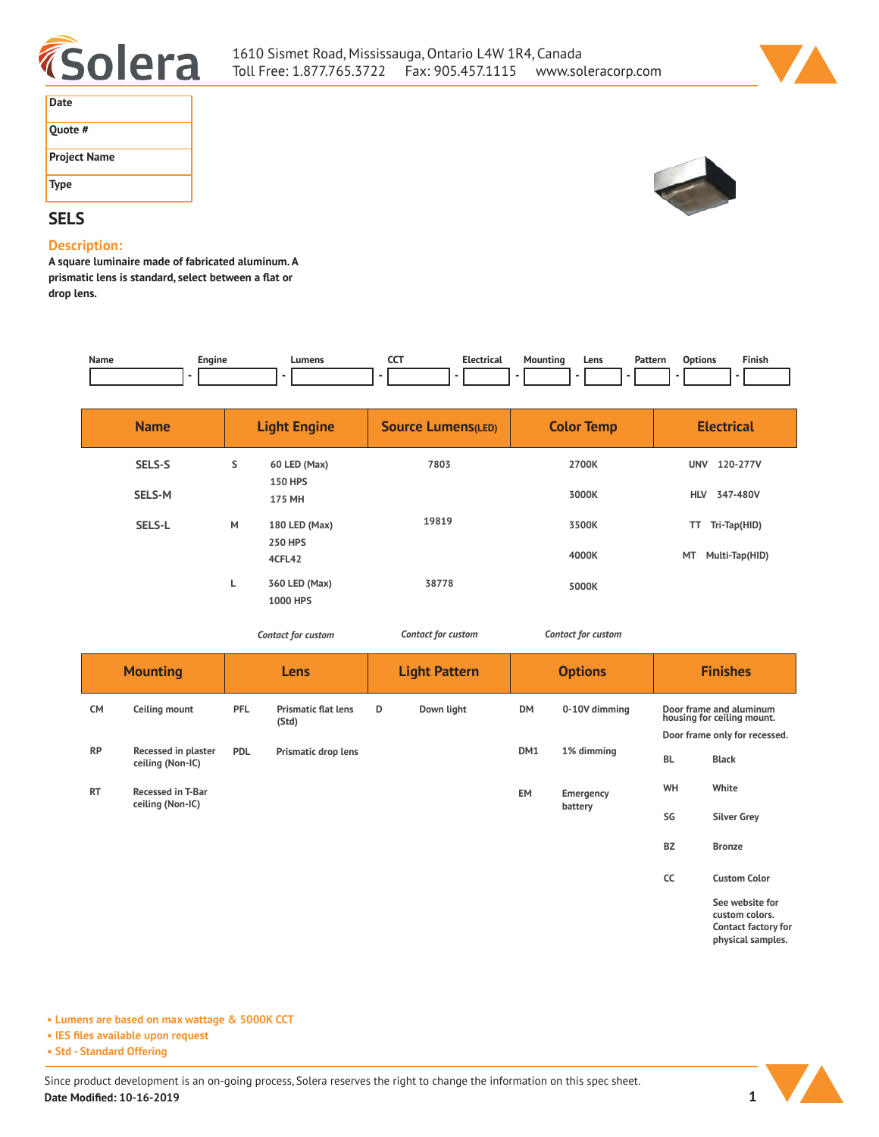



| Date                |
|---------------------|
| Ouote #             |
| <b>Project Name</b> |
| <b>Type</b>         |

# **SELS**

### **Description:**

**A square luminaire made of fabricated aluminum. A prismatic lens is standard, select between a flat or drop lens.** 

| Name | Engine<br>__ | Lumens | ---<br>-- - | ---- | $M \cap W$<br>. | Lens | Pattern | . | $- \cdot$ $-$<br>inish: |
|------|--------------|--------|-------------|------|-----------------|------|---------|---|-------------------------|
|      |              |        |             |      |                 |      |         |   |                         |

| <b>Name</b>   |   | <b>Light Engine</b>             | <b>Source Lumens(LED)</b> | <b>Color Temp</b> | <b>Electrical</b>      |
|---------------|---|---------------------------------|---------------------------|-------------------|------------------------|
| SELS-S        | s | 60 LED (Max)<br><b>150 HPS</b>  | 7803                      | 2700K             | <b>UNV</b><br>120-277V |
| <b>SELS-M</b> |   | 175 MH                          |                           | 3000K             | 347-480V<br><b>HLV</b> |
| SELS-L        | M | 180 LED (Max)<br><b>250 HPS</b> | 19819                     | 3500K             | Tri-Tap(HID)<br>TT.    |
|               |   | 4CFL42                          |                           | 4000K             | MT<br>Multi-Tap(HID)   |
|               | L | 360 LED (Max)<br>1000 HPS       | 38778                     | 5000K             |                        |

*Contact for custom Contact for custom*

*Contact for custom*

| <b>Mounting</b> |                                         | Lens       |                                     | <b>Light Pattern</b> |            | <b>Options</b> |                      | <b>Finishes</b>               |                                                                               |  |
|-----------------|-----------------------------------------|------------|-------------------------------------|----------------------|------------|----------------|----------------------|-------------------------------|-------------------------------------------------------------------------------|--|
| <b>CM</b>       | Ceiling mount                           | PFL        | <b>Prismatic flat lens</b><br>(Std) | D                    | Down light | <b>DM</b>      | 0-10V dimming        |                               | Door frame and aluminum<br>housing for ceiling mount.                         |  |
|                 |                                         |            |                                     |                      |            |                |                      | Door frame only for recessed. |                                                                               |  |
| <b>RP</b>       | Recessed in plaster<br>ceiling (Non-IC) | <b>PDL</b> | Prismatic drop lens                 |                      |            | DM1            | 1% dimming           | <b>BL</b>                     | <b>Black</b>                                                                  |  |
| <b>RT</b>       | <b>Recessed in T-Bar</b>                |            |                                     |                      |            | EM             | Emergency<br>battery | WH                            | White                                                                         |  |
|                 | ceiling (Non-IC)                        |            |                                     |                      |            |                |                      | SG                            | <b>Silver Grey</b>                                                            |  |
|                 |                                         |            |                                     |                      |            |                |                      | <b>BZ</b>                     | <b>Bronze</b>                                                                 |  |
|                 |                                         |            |                                     |                      |            |                |                      | CC                            | <b>Custom Color</b>                                                           |  |
|                 |                                         |            |                                     |                      |            |                |                      |                               | See website for<br>custom colors.<br>Contact factory for<br>physical samples. |  |

**• Lumens are based on max wattage & 5000K CCT**

**• IES files available upon request**

**• Std - Standard Offering**